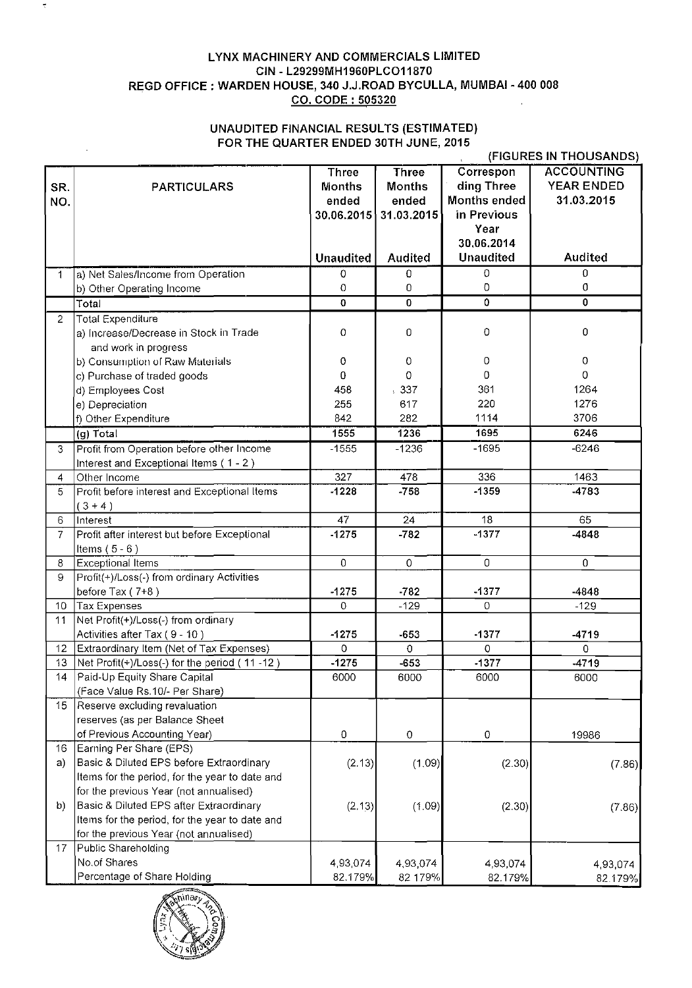## LYNX MACHINERY AND COMMERCIALS LIMITED CIN - L29299MH1960PLC011870 REGD OFFICE: WARDEN HOUSE, 340 J.J.ROAD BYCULLA, MUMBAI - 400008 <u>CO. CODE : 505320</u>  $\ddot{\phantom{a}}$

## UNAUDITED FINANCIAL RESULTS (ESTIMATED) FOR THE QUARTER ENDED 30TH JUNE, 2015

|                         | (FIGURES IN THOUSANDS)                               |                         |                |                     |                   |  |  |
|-------------------------|------------------------------------------------------|-------------------------|----------------|---------------------|-------------------|--|--|
|                         |                                                      | <b>Three</b>            | <b>Three</b>   | Correspon           | <b>ACCOUNTING</b> |  |  |
| SR.                     | <b>PARTICULARS</b>                                   | <b>Months</b>           | <b>Months</b>  | ding Three          | <b>YEAR ENDED</b> |  |  |
| NO.                     |                                                      | ended                   | ended          | <b>Months ended</b> | 31.03.2015        |  |  |
|                         |                                                      | 30.06.2015              | 31.03.2015     | in Previous         |                   |  |  |
|                         |                                                      |                         |                | Year                |                   |  |  |
|                         |                                                      |                         |                | 30.06.2014          |                   |  |  |
|                         |                                                      | <b>Unaudited</b>        | <b>Audited</b> | <b>Unaudited</b>    | Audited           |  |  |
| 1.                      | a) Net Sales/Income from Operation                   | 0                       | 0              | 0                   | 0                 |  |  |
|                         | b) Other Operating Income                            | 0                       | $\mathbf 0$    | 0                   | 0                 |  |  |
|                         | Total                                                | $\mathbf 0$             | $\mathbf 0$    | 0                   | $\mathbf 0$       |  |  |
| $\overline{2}$          | Total Expenditure                                    |                         |                |                     |                   |  |  |
|                         | a) Increase/Decrease in Stock in Trade               | 0                       | 0              | 0                   | $\mathbf 0$       |  |  |
|                         | and work in progress                                 |                         |                |                     |                   |  |  |
|                         | b) Consumption of Raw Materials                      | 0                       | $\overline{0}$ | 0                   | $\circ$           |  |  |
|                         | c) Purchase of traded goods                          | 0                       | 0              | 0                   | $\circ$           |  |  |
|                         | d) Employees Cost                                    | 458                     | 337            | 361                 | 1264              |  |  |
|                         | e) Depreciation                                      | 255                     | 617            | 220                 | 1276              |  |  |
|                         | f) Other Expenditure                                 | 842                     | 282            | 1114                | 3706              |  |  |
|                         | $(q)$ Total                                          | 1555                    | 1236           | 1695                | 6246              |  |  |
| 3                       | Profit from Operation before other Income            | $-1555$                 | $-1236$        | $-1695$             | $-6246$           |  |  |
|                         |                                                      |                         |                |                     |                   |  |  |
| $\overline{\mathbf{4}}$ | Interest and Exceptional Items (1-2)<br>Other Income | 327                     | 478            | 336                 | 1463              |  |  |
| 5                       | Profit before interest and Exceptional Items         | $-1228$                 | $-758$         | $-1359$             | $-4783$           |  |  |
|                         |                                                      |                         |                |                     |                   |  |  |
|                         | $(3+4)$                                              | 47                      |                | 18                  | 65                |  |  |
| 6<br>$\overline{7}$     | Interest                                             |                         | 24             |                     |                   |  |  |
|                         | Profit after interest but before Exceptional         | $-1275$                 | $-782$         | $-1377$             | $-4848$           |  |  |
|                         | Items $(5 - 6)$                                      |                         | $\overline{O}$ | 0                   | $\mathbf 0$       |  |  |
| $\, 8$                  | Exceptional Items                                    | 0                       |                |                     |                   |  |  |
| 9                       | Profit(+)/Loss(-) from ordinary Activities           |                         |                |                     |                   |  |  |
|                         | before Tax (7+8)                                     | $-1275$<br>$\mathbf{O}$ | $-782$         | $-1377$             | $-4848$           |  |  |
| 10 <sub>1</sub>         | Tax Expenses                                         |                         | $-129$         | 0                   | $-129$            |  |  |
| 11                      | Net Profit(+)/Loss(-) from ordinary                  |                         |                |                     |                   |  |  |
|                         | Activities after Tax (9 - 10)                        | $-1275$<br>$\mathbf 0$  | -653           | $-1377$             | $-4719$           |  |  |
| 12 <sub>1</sub>         | Extraordinary Item (Net of Tax Expenses)             |                         | $\mathbf 0$    | 0                   | 0                 |  |  |
| 13 <sup>1</sup>         | Net Profit(+)/Loss(-) for the period (11-12)         | $-1275$                 | $-653$         | $-1377$             | $-4719$           |  |  |
| 14                      | Paid-Up Equity Share Capital                         | 6000                    | 6000           | 6000                | 6000              |  |  |
|                         | (Face Value Rs.10/- Per Share)                       |                         |                |                     |                   |  |  |
| 15                      | Reserve excluding revaluation                        |                         |                |                     |                   |  |  |
|                         | reserves (as per Balance Sheet                       |                         |                |                     |                   |  |  |
|                         | of Previous Accounting Year)                         | 0                       | 0              | 0                   | 19986             |  |  |
| 16                      | Earning Per Share (EPS)                              |                         |                |                     |                   |  |  |
| a)                      | Basic & Diluted EPS before Extraordinary             | (2.13)                  | (1.09)         | (2.30)              | (7.86)            |  |  |
|                         | Items for the period, for the year to date and       |                         |                |                     |                   |  |  |
|                         | for the previous Year (not annualised)               |                         |                |                     |                   |  |  |
| b)                      | Basic & Diluted EPS after Extraordinary              | (2.13)                  | (1.09)         | (2.30)              | (7.86)            |  |  |
|                         | Items for the period, for the year to date and       |                         |                |                     |                   |  |  |
|                         | for the previous Year (not annualised)               |                         |                |                     |                   |  |  |
| 17                      | Public Shareholding                                  |                         |                |                     |                   |  |  |
|                         | No.of Shares                                         | 4,93,074                | 4,93,074       | 4,93,074            | 4,93,074          |  |  |
|                         | Percentage of Share Holding                          | 82.179%                 | 82 179%        | 82.179%             | 82.179%           |  |  |